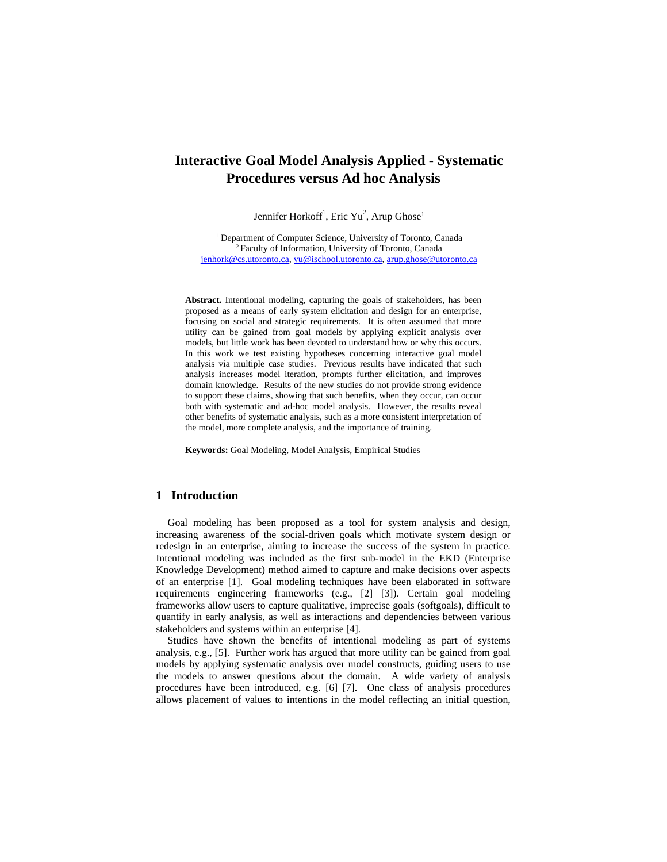# **Interactive Goal Model Analysis Applied - Systematic Procedures versus Ad hoc Analysis**

Jennifer Horkoff<sup>1</sup>, Eric Yu<sup>2</sup>, Arup Ghose<sup>1</sup>

1 Department of Computer Science, University of Toronto, Canada 2 Faculty of Information, University of Toronto, Canada jenhork@cs.utoronto.ca, yu@ischool.utoronto.ca, arup.ghose@utoronto.ca

**Abstract.** Intentional modeling, capturing the goals of stakeholders, has been proposed as a means of early system elicitation and design for an enterprise, focusing on social and strategic requirements. It is often assumed that more utility can be gained from goal models by applying explicit analysis over models, but little work has been devoted to understand how or why this occurs. In this work we test existing hypotheses concerning interactive goal model analysis via multiple case studies. Previous results have indicated that such analysis increases model iteration, prompts further elicitation, and improves domain knowledge. Results of the new studies do not provide strong evidence to support these claims, showing that such benefits, when they occur, can occur both with systematic and ad-hoc model analysis. However, the results reveal other benefits of systematic analysis, such as a more consistent interpretation of the model, more complete analysis, and the importance of training.

**Keywords:** Goal Modeling, Model Analysis, Empirical Studies

# **1 Introduction**

Goal modeling has been proposed as a tool for system analysis and design, increasing awareness of the social-driven goals which motivate system design or redesign in an enterprise, aiming to increase the success of the system in practice. Intentional modeling was included as the first sub-model in the EKD (Enterprise Knowledge Development) method aimed to capture and make decisions over aspects of an enterprise [1]. Goal modeling techniques have been elaborated in software requirements engineering frameworks (e.g., [2] [3]). Certain goal modeling frameworks allow users to capture qualitative, imprecise goals (softgoals), difficult to quantify in early analysis, as well as interactions and dependencies between various stakeholders and systems within an enterprise [4].

Studies have shown the benefits of intentional modeling as part of systems analysis, e.g., [5]. Further work has argued that more utility can be gained from goal models by applying systematic analysis over model constructs, guiding users to use the models to answer questions about the domain. A wide variety of analysis procedures have been introduced, e.g. [6] [7]. One class of analysis procedures allows placement of values to intentions in the model reflecting an initial question,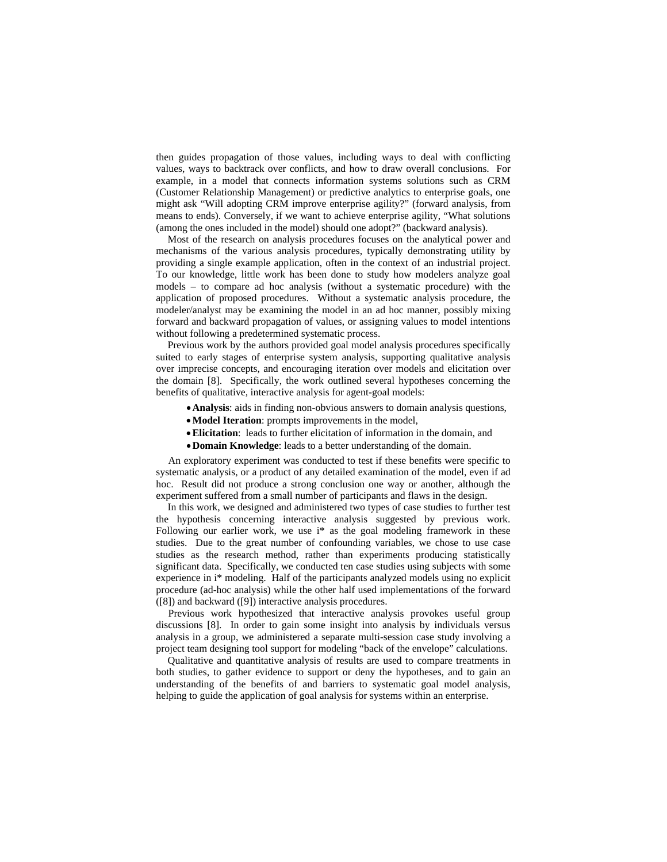then guides propagation of those values, including ways to deal with conflicting values, ways to backtrack over conflicts, and how to draw overall conclusions. For example, in a model that connects information systems solutions such as CRM (Customer Relationship Management) or predictive analytics to enterprise goals, one might ask "Will adopting CRM improve enterprise agility?" (forward analysis, from means to ends). Conversely, if we want to achieve enterprise agility, "What solutions (among the ones included in the model) should one adopt?" (backward analysis).

Most of the research on analysis procedures focuses on the analytical power and mechanisms of the various analysis procedures, typically demonstrating utility by providing a single example application, often in the context of an industrial project. To our knowledge, little work has been done to study how modelers analyze goal models – to compare ad hoc analysis (without a systematic procedure) with the application of proposed procedures. Without a systematic analysis procedure, the modeler/analyst may be examining the model in an ad hoc manner, possibly mixing forward and backward propagation of values, or assigning values to model intentions without following a predetermined systematic process.

Previous work by the authors provided goal model analysis procedures specifically suited to early stages of enterprise system analysis, supporting qualitative analysis over imprecise concepts, and encouraging iteration over models and elicitation over the domain [8]. Specifically, the work outlined several hypotheses concerning the benefits of qualitative, interactive analysis for agent-goal models:

- •**Analysis**: aids in finding non-obvious answers to domain analysis questions,
- •**Model Iteration**: prompts improvements in the model,
- •**Elicitation**: leads to further elicitation of information in the domain, and
- •**Domain Knowledge**: leads to a better understanding of the domain.

An exploratory experiment was conducted to test if these benefits were specific to systematic analysis, or a product of any detailed examination of the model, even if ad hoc. Result did not produce a strong conclusion one way or another, although the experiment suffered from a small number of participants and flaws in the design.

In this work, we designed and administered two types of case studies to further test the hypothesis concerning interactive analysis suggested by previous work. Following our earlier work, we use i\* as the goal modeling framework in these studies. Due to the great number of confounding variables, we chose to use case studies as the research method, rather than experiments producing statistically significant data. Specifically, we conducted ten case studies using subjects with some experience in i\* modeling. Half of the participants analyzed models using no explicit procedure (ad-hoc analysis) while the other half used implementations of the forward ([8]) and backward ([9]) interactive analysis procedures.

Previous work hypothesized that interactive analysis provokes useful group discussions [8]. In order to gain some insight into analysis by individuals versus analysis in a group, we administered a separate multi-session case study involving a project team designing tool support for modeling "back of the envelope" calculations.

Qualitative and quantitative analysis of results are used to compare treatments in both studies, to gather evidence to support or deny the hypotheses, and to gain an understanding of the benefits of and barriers to systematic goal model analysis, helping to guide the application of goal analysis for systems within an enterprise.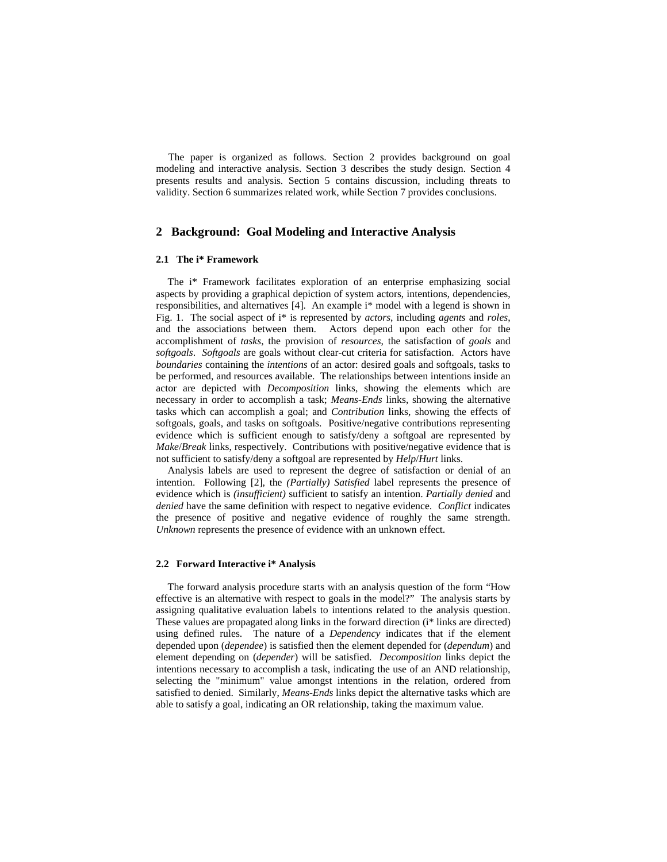The paper is organized as follows. Section 2 provides background on goal modeling and interactive analysis. Section 3 describes the study design. Section 4 presents results and analysis. Section 5 contains discussion, including threats to validity. Section 6 summarizes related work, while Section 7 provides conclusions.

## **2 Background: Goal Modeling and Interactive Analysis**

### **2.1 The i\* Framework**

The i\* Framework facilitates exploration of an enterprise emphasizing social aspects by providing a graphical depiction of system actors, intentions, dependencies, responsibilities, and alternatives [4]. An example i\* model with a legend is shown in Fig. 1. The social aspect of i\* is represented by *actors*, including *agents* and *roles*, and the associations between them. Actors depend upon each other for the accomplishment of *tasks*, the provision of *resources*, the satisfaction of *goals* and *softgoals*. *Softgoals* are goals without clear-cut criteria for satisfaction. Actors have *boundaries* containing the *intentions* of an actor: desired goals and softgoals, tasks to be performed, and resources available. The relationships between intentions inside an actor are depicted with *Decomposition* links, showing the elements which are necessary in order to accomplish a task; *Means-Ends* links, showing the alternative tasks which can accomplish a goal; and *Contribution* links, showing the effects of softgoals, goals, and tasks on softgoals. Positive/negative contributions representing evidence which is sufficient enough to satisfy/deny a softgoal are represented by *Make*/*Break* links, respectively. Contributions with positive/negative evidence that is not sufficient to satisfy/deny a softgoal are represented by *Help*/*Hurt* links.

Analysis labels are used to represent the degree of satisfaction or denial of an intention. Following [2], the *(Partially) Satisfied* label represents the presence of evidence which is *(insufficient)* sufficient to satisfy an intention. *Partially denied* and *denied* have the same definition with respect to negative evidence. *Conflict* indicates the presence of positive and negative evidence of roughly the same strength. *Unknown* represents the presence of evidence with an unknown effect.

### **2.2 Forward Interactive i\* Analysis**

The forward analysis procedure starts with an analysis question of the form "How effective is an alternative with respect to goals in the model?" The analysis starts by assigning qualitative evaluation labels to intentions related to the analysis question. These values are propagated along links in the forward direction (i\* links are directed) using defined rules. The nature of a *Dependency* indicates that if the element depended upon (*dependee*) is satisfied then the element depended for (*dependum*) and element depending on (*depender*) will be satisfied. *Decomposition* links depict the intentions necessary to accomplish a task, indicating the use of an AND relationship, selecting the "minimum" value amongst intentions in the relation, ordered from satisfied to denied. Similarly, *Means-Ends* links depict the alternative tasks which are able to satisfy a goal, indicating an OR relationship, taking the maximum value.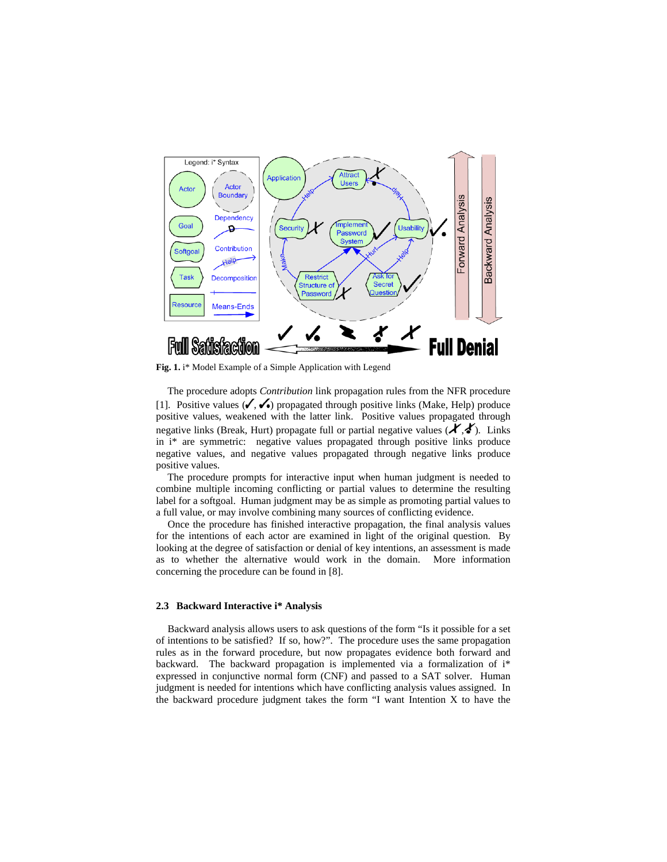

**Fig. 1.** i\* Model Example of a Simple Application with Legend

The procedure adopts *Contribution* link propagation rules from the NFR procedure [1]. Positive values  $(\checkmark, \checkmark)$  propagated through positive links (Make, Help) produce positive values, weakened with the latter link. Positive values propagated through negative links (Break, Hurt) propagate full or partial negative values  $(X, X)$ . Links in i\* are symmetric: negative values propagated through positive links produce negative values, and negative values propagated through negative links produce positive values.

The procedure prompts for interactive input when human judgment is needed to combine multiple incoming conflicting or partial values to determine the resulting label for a softgoal. Human judgment may be as simple as promoting partial values to a full value, or may involve combining many sources of conflicting evidence.

Once the procedure has finished interactive propagation, the final analysis values for the intentions of each actor are examined in light of the original question. By looking at the degree of satisfaction or denial of key intentions, an assessment is made as to whether the alternative would work in the domain. More information concerning the procedure can be found in [8].

#### **2.3 Backward Interactive i\* Analysis**

Backward analysis allows users to ask questions of the form "Is it possible for a set of intentions to be satisfied? If so, how?". The procedure uses the same propagation rules as in the forward procedure, but now propagates evidence both forward and backward. The backward propagation is implemented via a formalization of i\* expressed in conjunctive normal form (CNF) and passed to a SAT solver. Human judgment is needed for intentions which have conflicting analysis values assigned. In the backward procedure judgment takes the form "I want Intention X to have the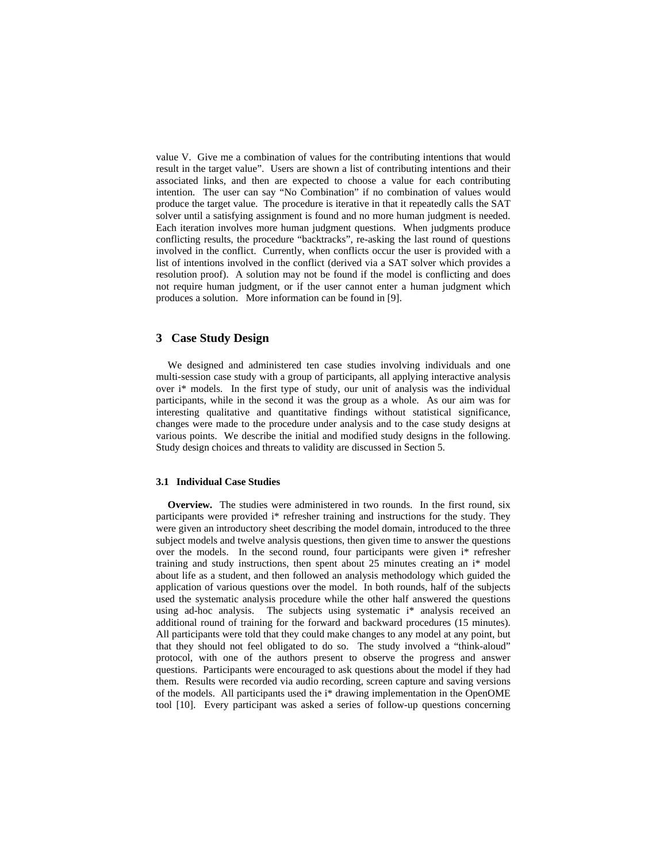value V. Give me a combination of values for the contributing intentions that would result in the target value". Users are shown a list of contributing intentions and their associated links, and then are expected to choose a value for each contributing intention. The user can say "No Combination" if no combination of values would produce the target value. The procedure is iterative in that it repeatedly calls the SAT solver until a satisfying assignment is found and no more human judgment is needed. Each iteration involves more human judgment questions. When judgments produce conflicting results, the procedure "backtracks", re-asking the last round of questions involved in the conflict. Currently, when conflicts occur the user is provided with a list of intentions involved in the conflict (derived via a SAT solver which provides a resolution proof). A solution may not be found if the model is conflicting and does not require human judgment, or if the user cannot enter a human judgment which produces a solution. More information can be found in [9].

## **3 Case Study Design**

We designed and administered ten case studies involving individuals and one multi-session case study with a group of participants, all applying interactive analysis over i\* models. In the first type of study, our unit of analysis was the individual participants, while in the second it was the group as a whole. As our aim was for interesting qualitative and quantitative findings without statistical significance, changes were made to the procedure under analysis and to the case study designs at various points. We describe the initial and modified study designs in the following. Study design choices and threats to validity are discussed in Section 5.

#### **3.1 Individual Case Studies**

**Overview.** The studies were administered in two rounds. In the first round, six participants were provided i\* refresher training and instructions for the study. They were given an introductory sheet describing the model domain, introduced to the three subject models and twelve analysis questions, then given time to answer the questions over the models. In the second round, four participants were given i\* refresher training and study instructions, then spent about 25 minutes creating an i\* model about life as a student, and then followed an analysis methodology which guided the application of various questions over the model. In both rounds, half of the subjects used the systematic analysis procedure while the other half answered the questions using ad-hoc analysis. The subjects using systematic i\* analysis received an additional round of training for the forward and backward procedures (15 minutes). All participants were told that they could make changes to any model at any point, but that they should not feel obligated to do so. The study involved a "think-aloud" protocol, with one of the authors present to observe the progress and answer questions. Participants were encouraged to ask questions about the model if they had them. Results were recorded via audio recording, screen capture and saving versions of the models. All participants used the i\* drawing implementation in the OpenOME tool [10]. Every participant was asked a series of follow-up questions concerning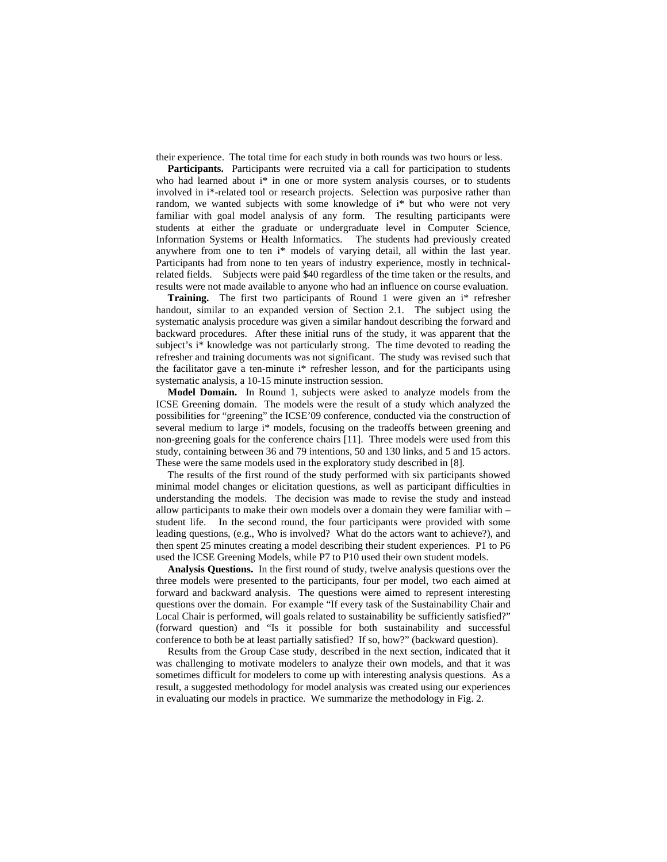their experience. The total time for each study in both rounds was two hours or less.

**Participants.** Participants were recruited via a call for participation to students who had learned about i\* in one or more system analysis courses, or to students involved in i\*-related tool or research projects. Selection was purposive rather than random, we wanted subjects with some knowledge of i\* but who were not very familiar with goal model analysis of any form. The resulting participants were students at either the graduate or undergraduate level in Computer Science, Information Systems or Health Informatics. The students had previously created anywhere from one to ten i\* models of varying detail, all within the last year. Participants had from none to ten years of industry experience, mostly in technicalrelated fields. Subjects were paid \$40 regardless of the time taken or the results, and results were not made available to anyone who had an influence on course evaluation.

**Training.** The first two participants of Round 1 were given an i\* refresher handout, similar to an expanded version of Section 2.1. The subject using the systematic analysis procedure was given a similar handout describing the forward and backward procedures. After these initial runs of the study, it was apparent that the subject's i\* knowledge was not particularly strong. The time devoted to reading the refresher and training documents was not significant. The study was revised such that the facilitator gave a ten-minute i\* refresher lesson, and for the participants using systematic analysis, a 10-15 minute instruction session.

**Model Domain.** In Round 1, subjects were asked to analyze models from the ICSE Greening domain. The models were the result of a study which analyzed the possibilities for "greening" the ICSE'09 conference, conducted via the construction of several medium to large i\* models, focusing on the tradeoffs between greening and non-greening goals for the conference chairs [11]. Three models were used from this study, containing between 36 and 79 intentions, 50 and 130 links, and 5 and 15 actors. These were the same models used in the exploratory study described in [8].

The results of the first round of the study performed with six participants showed minimal model changes or elicitation questions, as well as participant difficulties in understanding the models. The decision was made to revise the study and instead allow participants to make their own models over a domain they were familiar with – student life. In the second round, the four participants were provided with some leading questions, (e.g., Who is involved? What do the actors want to achieve?), and then spent 25 minutes creating a model describing their student experiences. P1 to P6 used the ICSE Greening Models, while P7 to P10 used their own student models.

**Analysis Questions.** In the first round of study, twelve analysis questions over the three models were presented to the participants, four per model, two each aimed at forward and backward analysis. The questions were aimed to represent interesting questions over the domain. For example "If every task of the Sustainability Chair and Local Chair is performed, will goals related to sustainability be sufficiently satisfied?" (forward question) and "Is it possible for both sustainability and successful conference to both be at least partially satisfied? If so, how?" (backward question).

Results from the Group Case study, described in the next section, indicated that it was challenging to motivate modelers to analyze their own models, and that it was sometimes difficult for modelers to come up with interesting analysis questions. As a result, a suggested methodology for model analysis was created using our experiences in evaluating our models in practice. We summarize the methodology in Fig. 2.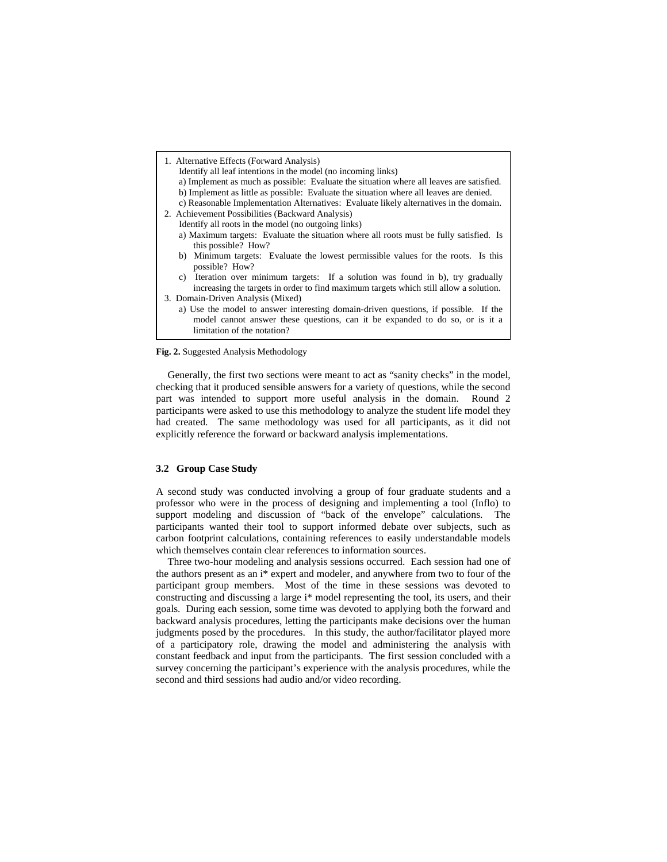

**Fig. 2.** Suggested Analysis Methodology

Generally, the first two sections were meant to act as "sanity checks" in the model, checking that it produced sensible answers for a variety of questions, while the second part was intended to support more useful analysis in the domain. Round 2 participants were asked to use this methodology to analyze the student life model they had created. The same methodology was used for all participants, as it did not explicitly reference the forward or backward analysis implementations.

### **3.2 Group Case Study**

A second study was conducted involving a group of four graduate students and a professor who were in the process of designing and implementing a tool (Inflo) to support modeling and discussion of "back of the envelope" calculations. The participants wanted their tool to support informed debate over subjects, such as carbon footprint calculations, containing references to easily understandable models which themselves contain clear references to information sources.

Three two-hour modeling and analysis sessions occurred. Each session had one of the authors present as an i\* expert and modeler, and anywhere from two to four of the participant group members. Most of the time in these sessions was devoted to constructing and discussing a large i\* model representing the tool, its users, and their goals. During each session, some time was devoted to applying both the forward and backward analysis procedures, letting the participants make decisions over the human judgments posed by the procedures. In this study, the author/facilitator played more of a participatory role, drawing the model and administering the analysis with constant feedback and input from the participants. The first session concluded with a survey concerning the participant's experience with the analysis procedures, while the second and third sessions had audio and/or video recording.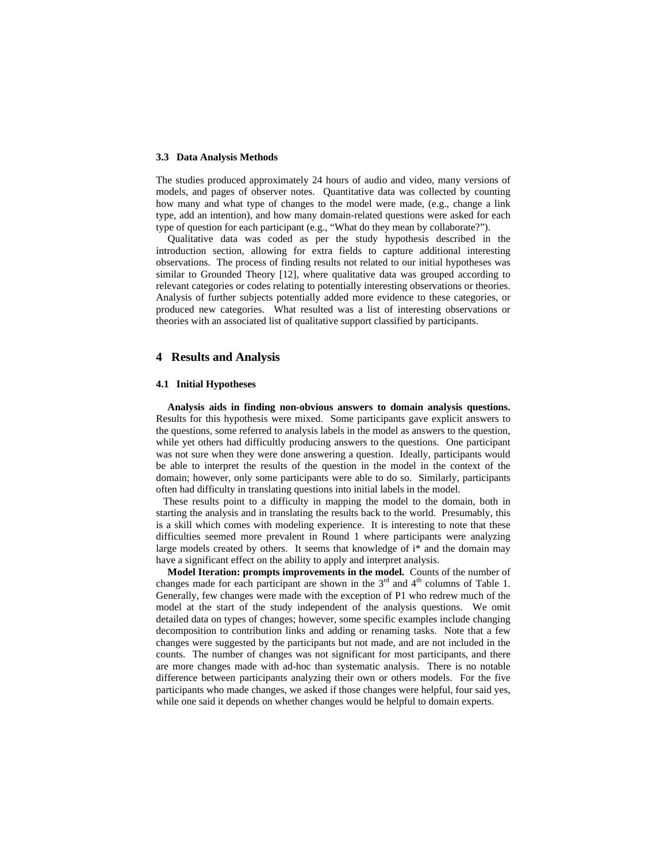#### **3.3 Data Analysis Methods**

The studies produced approximately 24 hours of audio and video, many versions of models, and pages of observer notes. Quantitative data was collected by counting how many and what type of changes to the model were made, (e.g., change a link type, add an intention), and how many domain-related questions were asked for each type of question for each participant (e.g., "What do they mean by collaborate?").

Qualitative data was coded as per the study hypothesis described in the introduction section, allowing for extra fields to capture additional interesting observations. The process of finding results not related to our initial hypotheses was similar to Grounded Theory [12], where qualitative data was grouped according to relevant categories or codes relating to potentially interesting observations or theories. Analysis of further subjects potentially added more evidence to these categories, or produced new categories. What resulted was a list of interesting observations or theories with an associated list of qualitative support classified by participants.

#### **4 Results and Analysis**

#### **4.1 Initial Hypotheses**

**Analysis aids in finding non-obvious answers to domain analysis questions.**  Results for this hypothesis were mixed. Some participants gave explicit answers to the questions, some referred to analysis labels in the model as answers to the question, while yet others had difficultly producing answers to the questions. One participant was not sure when they were done answering a question. Ideally, participants would be able to interpret the results of the question in the model in the context of the domain; however, only some participants were able to do so. Similarly, participants often had difficulty in translating questions into initial labels in the model.

These results point to a difficulty in mapping the model to the domain, both in starting the analysis and in translating the results back to the world. Presumably, this is a skill which comes with modeling experience. It is interesting to note that these difficulties seemed more prevalent in Round 1 where participants were analyzing large models created by others. It seems that knowledge of  $i^*$  and the domain may have a significant effect on the ability to apply and interpret analysis.

**Model Iteration: prompts improvements in the model.** Counts of the number of changes made for each participant are shown in the  $3<sup>rd</sup>$  and  $4<sup>th</sup>$  columns of Table 1. Generally, few changes were made with the exception of P1 who redrew much of the model at the start of the study independent of the analysis questions. We omit detailed data on types of changes; however, some specific examples include changing decomposition to contribution links and adding or renaming tasks. Note that a few changes were suggested by the participants but not made, and are not included in the counts. The number of changes was not significant for most participants, and there are more changes made with ad-hoc than systematic analysis. There is no notable difference between participants analyzing their own or others models. For the five participants who made changes, we asked if those changes were helpful, four said yes, while one said it depends on whether changes would be helpful to domain experts.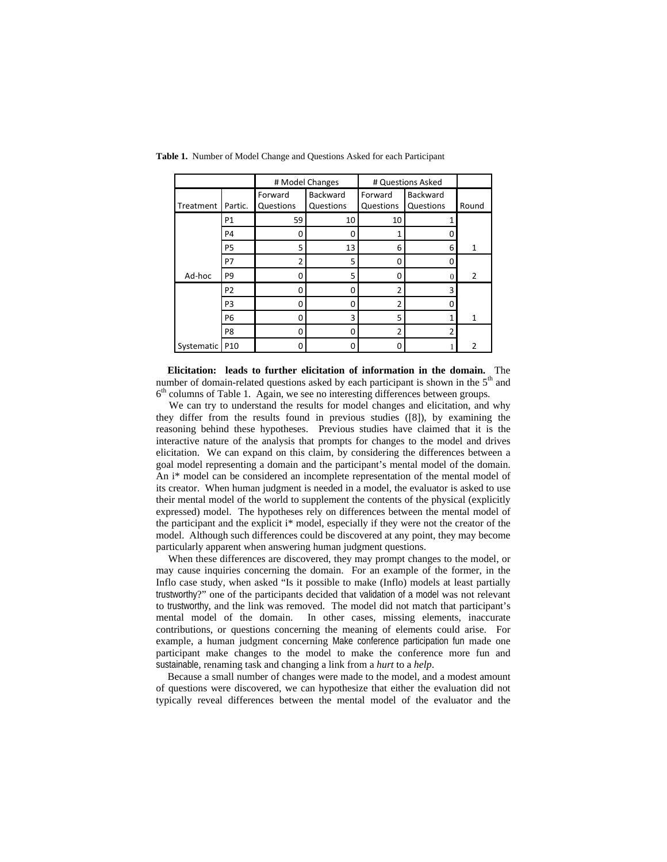|            |                 | # Model Changes      |                              | # Questions Asked    |                       |              |
|------------|-----------------|----------------------|------------------------------|----------------------|-----------------------|--------------|
| Treatment  | Partic.         | Forward<br>Questions | <b>Backward</b><br>Questions | Forward<br>Questions | Backward<br>Questions | Round        |
|            | P1              | 59                   | 10                           | 10                   |                       |              |
|            | P4              | 0                    | 0                            |                      | 0                     |              |
|            | P <sub>5</sub>  | 5                    | 13                           | 6                    | 6                     | 1            |
|            | P7              | 2                    | 5                            | 0                    | Ω                     |              |
| Ad-hoc     | P <sub>9</sub>  | 0                    | 5                            | $\Omega$             | 0                     | 2            |
|            | P <sub>2</sub>  | 0                    | 0                            |                      | 3                     |              |
|            | P <sub>3</sub>  | $\Omega$             | 0                            | 2                    | U                     |              |
|            | P <sub>6</sub>  | $\Omega$             | 3                            | 5                    | 1                     | $\mathbf{1}$ |
|            | P <sub>8</sub>  | 0                    | 0                            |                      | $\overline{2}$        |              |
| Systematic | P <sub>10</sub> | 0                    | 0                            |                      |                       | 2            |

**Table 1.** Number of Model Change and Questions Asked for each Participant

**Elicitation: leads to further elicitation of information in the domain.** The number of domain-related questions asked by each participant is shown in the  $5<sup>th</sup>$  and  $6<sup>th</sup>$  columns of Table 1. Again, we see no interesting differences between groups.

We can try to understand the results for model changes and elicitation, and why they differ from the results found in previous studies ([8]), by examining the reasoning behind these hypotheses. Previous studies have claimed that it is the interactive nature of the analysis that prompts for changes to the model and drives elicitation. We can expand on this claim, by considering the differences between a goal model representing a domain and the participant's mental model of the domain. An i\* model can be considered an incomplete representation of the mental model of its creator. When human judgment is needed in a model, the evaluator is asked to use their mental model of the world to supplement the contents of the physical (explicitly expressed) model. The hypotheses rely on differences between the mental model of the participant and the explicit i\* model, especially if they were not the creator of the model. Although such differences could be discovered at any point, they may become particularly apparent when answering human judgment questions.

When these differences are discovered, they may prompt changes to the model, or may cause inquiries concerning the domain. For an example of the former, in the Inflo case study, when asked "Is it possible to make (Inflo) models at least partially trustworthy?" one of the participants decided that validation of a model was not relevant to trustworthy, and the link was removed. The model did not match that participant's mental model of the domain. In other cases, missing elements, inaccurate contributions, or questions concerning the meaning of elements could arise. For example, a human judgment concerning Make conference participation fun made one participant make changes to the model to make the conference more fun and sustainable, renaming task and changing a link from a *hurt* to a *help*.

Because a small number of changes were made to the model, and a modest amount of questions were discovered, we can hypothesize that either the evaluation did not typically reveal differences between the mental model of the evaluator and the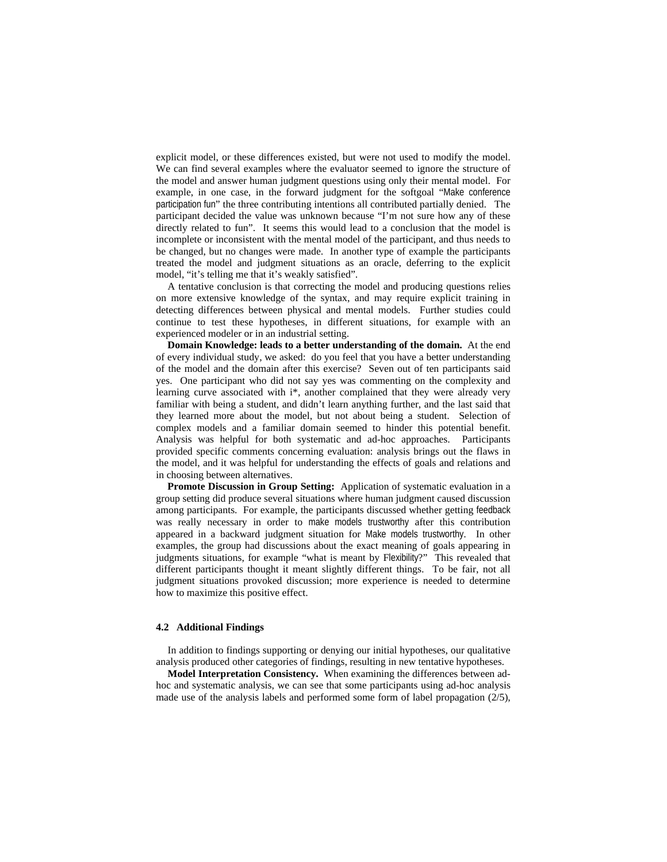explicit model, or these differences existed, but were not used to modify the model. We can find several examples where the evaluator seemed to ignore the structure of the model and answer human judgment questions using only their mental model. For example, in one case, in the forward judgment for the softgoal "Make conference participation fun" the three contributing intentions all contributed partially denied. The participant decided the value was unknown because "I'm not sure how any of these directly related to fun". It seems this would lead to a conclusion that the model is incomplete or inconsistent with the mental model of the participant, and thus needs to be changed, but no changes were made. In another type of example the participants treated the model and judgment situations as an oracle, deferring to the explicit model, "it's telling me that it's weakly satisfied".

A tentative conclusion is that correcting the model and producing questions relies on more extensive knowledge of the syntax, and may require explicit training in detecting differences between physical and mental models. Further studies could continue to test these hypotheses, in different situations, for example with an experienced modeler or in an industrial setting.

**Domain Knowledge: leads to a better understanding of the domain.** At the end of every individual study, we asked: do you feel that you have a better understanding of the model and the domain after this exercise? Seven out of ten participants said yes. One participant who did not say yes was commenting on the complexity and learning curve associated with i\*, another complained that they were already very familiar with being a student, and didn't learn anything further, and the last said that they learned more about the model, but not about being a student. Selection of complex models and a familiar domain seemed to hinder this potential benefit. Analysis was helpful for both systematic and ad-hoc approaches. Participants provided specific comments concerning evaluation: analysis brings out the flaws in the model, and it was helpful for understanding the effects of goals and relations and in choosing between alternatives.

**Promote Discussion in Group Setting:** Application of systematic evaluation in a group setting did produce several situations where human judgment caused discussion among participants. For example, the participants discussed whether getting feedback was really necessary in order to make models trustworthy after this contribution appeared in a backward judgment situation for Make models trustworthy. In other examples, the group had discussions about the exact meaning of goals appearing in judgments situations, for example "what is meant by Flexibility?" This revealed that different participants thought it meant slightly different things. To be fair, not all judgment situations provoked discussion; more experience is needed to determine how to maximize this positive effect.

#### **4.2 Additional Findings**

In addition to findings supporting or denying our initial hypotheses, our qualitative analysis produced other categories of findings, resulting in new tentative hypotheses.

**Model Interpretation Consistency.** When examining the differences between adhoc and systematic analysis, we can see that some participants using ad-hoc analysis made use of the analysis labels and performed some form of label propagation (2/5),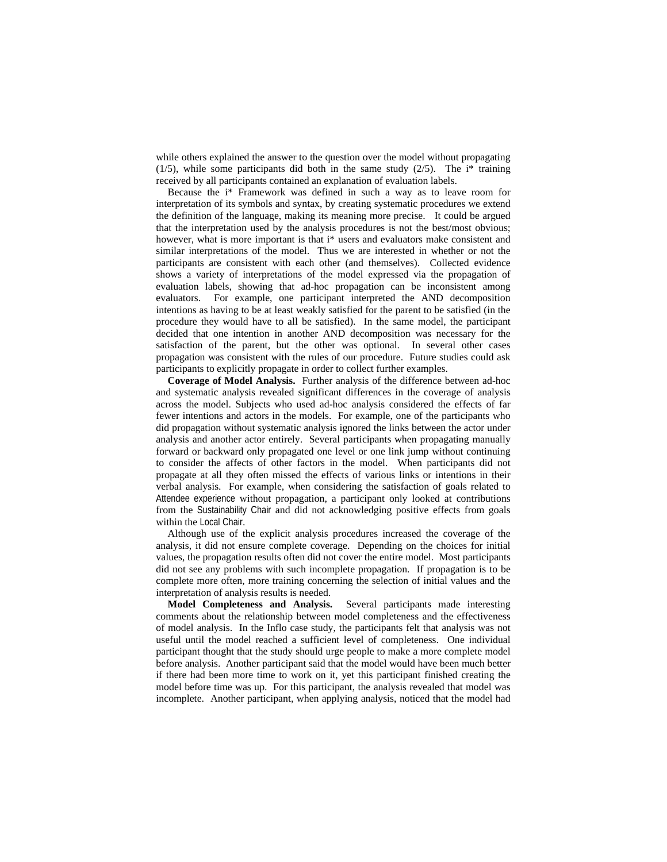while others explained the answer to the question over the model without propagating  $(1/5)$ , while some participants did both in the same study  $(2/5)$ . The i<sup>\*</sup> training received by all participants contained an explanation of evaluation labels.

Because the i\* Framework was defined in such a way as to leave room for interpretation of its symbols and syntax, by creating systematic procedures we extend the definition of the language, making its meaning more precise. It could be argued that the interpretation used by the analysis procedures is not the best/most obvious; however, what is more important is that i\* users and evaluators make consistent and similar interpretations of the model. Thus we are interested in whether or not the participants are consistent with each other (and themselves). Collected evidence shows a variety of interpretations of the model expressed via the propagation of evaluation labels, showing that ad-hoc propagation can be inconsistent among evaluators. For example, one participant interpreted the AND decomposition intentions as having to be at least weakly satisfied for the parent to be satisfied (in the procedure they would have to all be satisfied). In the same model, the participant decided that one intention in another AND decomposition was necessary for the satisfaction of the parent, but the other was optional. In several other cases propagation was consistent with the rules of our procedure. Future studies could ask participants to explicitly propagate in order to collect further examples.

**Coverage of Model Analysis.** Further analysis of the difference between ad-hoc and systematic analysis revealed significant differences in the coverage of analysis across the model. Subjects who used ad-hoc analysis considered the effects of far fewer intentions and actors in the models. For example, one of the participants who did propagation without systematic analysis ignored the links between the actor under analysis and another actor entirely. Several participants when propagating manually forward or backward only propagated one level or one link jump without continuing to consider the affects of other factors in the model. When participants did not propagate at all they often missed the effects of various links or intentions in their verbal analysis. For example, when considering the satisfaction of goals related to Attendee experience without propagation, a participant only looked at contributions from the Sustainability Chair and did not acknowledging positive effects from goals within the Local Chair.

Although use of the explicit analysis procedures increased the coverage of the analysis, it did not ensure complete coverage. Depending on the choices for initial values, the propagation results often did not cover the entire model. Most participants did not see any problems with such incomplete propagation. If propagation is to be complete more often, more training concerning the selection of initial values and the interpretation of analysis results is needed.<br>Model Completeness and Analysis.

Several participants made interesting comments about the relationship between model completeness and the effectiveness of model analysis. In the Inflo case study, the participants felt that analysis was not useful until the model reached a sufficient level of completeness. One individual participant thought that the study should urge people to make a more complete model before analysis. Another participant said that the model would have been much better if there had been more time to work on it, yet this participant finished creating the model before time was up. For this participant, the analysis revealed that model was incomplete. Another participant, when applying analysis, noticed that the model had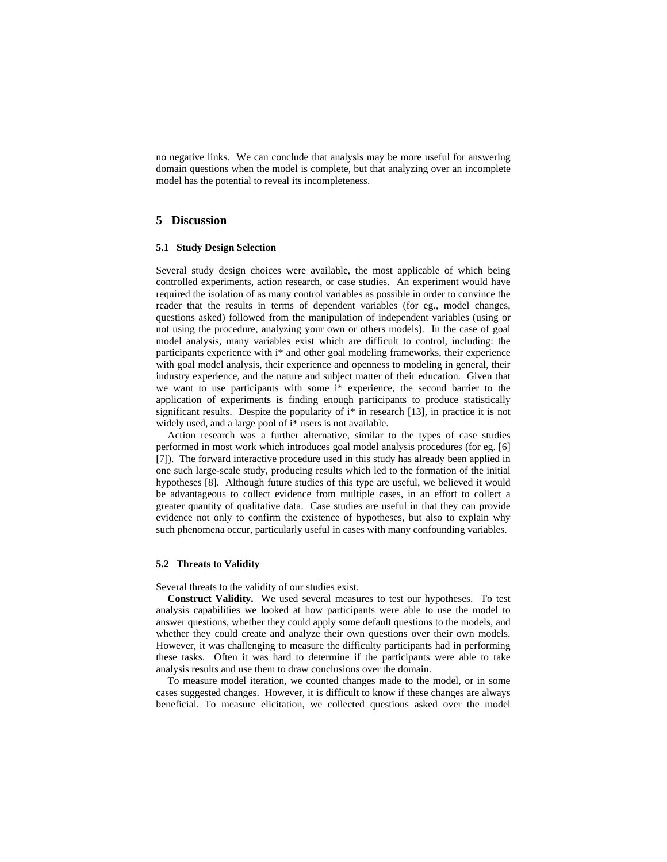no negative links. We can conclude that analysis may be more useful for answering domain questions when the model is complete, but that analyzing over an incomplete model has the potential to reveal its incompleteness.

## **5 Discussion**

### **5.1 Study Design Selection**

Several study design choices were available, the most applicable of which being controlled experiments, action research, or case studies. An experiment would have required the isolation of as many control variables as possible in order to convince the reader that the results in terms of dependent variables (for eg., model changes, questions asked) followed from the manipulation of independent variables (using or not using the procedure, analyzing your own or others models). In the case of goal model analysis, many variables exist which are difficult to control, including: the participants experience with i\* and other goal modeling frameworks, their experience with goal model analysis, their experience and openness to modeling in general, their industry experience, and the nature and subject matter of their education. Given that we want to use participants with some i\* experience, the second barrier to the application of experiments is finding enough participants to produce statistically significant results. Despite the popularity of  $i^*$  in research [13], in practice it is not widely used, and a large pool of i\* users is not available.

Action research was a further alternative, similar to the types of case studies performed in most work which introduces goal model analysis procedures (for eg. [6] [7]). The forward interactive procedure used in this study has already been applied in one such large-scale study, producing results which led to the formation of the initial hypotheses [8]. Although future studies of this type are useful, we believed it would be advantageous to collect evidence from multiple cases, in an effort to collect a greater quantity of qualitative data. Case studies are useful in that they can provide evidence not only to confirm the existence of hypotheses, but also to explain why such phenomena occur, particularly useful in cases with many confounding variables.

#### **5.2 Threats to Validity**

Several threats to the validity of our studies exist.

**Construct Validity.** We used several measures to test our hypotheses. To test analysis capabilities we looked at how participants were able to use the model to answer questions, whether they could apply some default questions to the models, and whether they could create and analyze their own questions over their own models. However, it was challenging to measure the difficulty participants had in performing these tasks. Often it was hard to determine if the participants were able to take analysis results and use them to draw conclusions over the domain.

To measure model iteration, we counted changes made to the model, or in some cases suggested changes. However, it is difficult to know if these changes are always beneficial. To measure elicitation, we collected questions asked over the model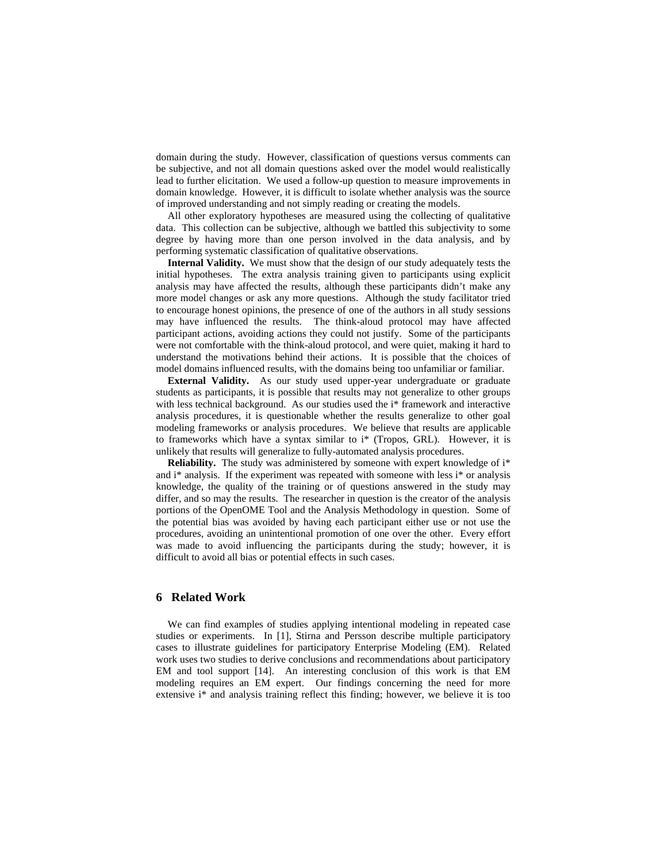domain during the study. However, classification of questions versus comments can be subjective, and not all domain questions asked over the model would realistically lead to further elicitation. We used a follow-up question to measure improvements in domain knowledge. However, it is difficult to isolate whether analysis was the source of improved understanding and not simply reading or creating the models.

All other exploratory hypotheses are measured using the collecting of qualitative data. This collection can be subjective, although we battled this subjectivity to some degree by having more than one person involved in the data analysis, and by performing systematic classification of qualitative observations.

**Internal Validity.** We must show that the design of our study adequately tests the initial hypotheses. The extra analysis training given to participants using explicit analysis may have affected the results, although these participants didn't make any more model changes or ask any more questions. Although the study facilitator tried to encourage honest opinions, the presence of one of the authors in all study sessions may have influenced the results. The think-aloud protocol may have affected participant actions, avoiding actions they could not justify. Some of the participants were not comfortable with the think-aloud protocol, and were quiet, making it hard to understand the motivations behind their actions. It is possible that the choices of model domains influenced results, with the domains being too unfamiliar or familiar.

**External Validity.** As our study used upper-year undergraduate or graduate students as participants, it is possible that results may not generalize to other groups with less technical background. As our studies used the i\* framework and interactive analysis procedures, it is questionable whether the results generalize to other goal modeling frameworks or analysis procedures. We believe that results are applicable to frameworks which have a syntax similar to i\* (Tropos, GRL). However, it is unlikely that results will generalize to fully-automated analysis procedures.

**Reliability.** The study was administered by someone with expert knowledge of i<sup>\*</sup> and  $i^*$  analysis. If the experiment was repeated with someone with less  $i^*$  or analysis knowledge, the quality of the training or of questions answered in the study may differ, and so may the results. The researcher in question is the creator of the analysis portions of the OpenOME Tool and the Analysis Methodology in question. Some of the potential bias was avoided by having each participant either use or not use the procedures, avoiding an unintentional promotion of one over the other. Every effort was made to avoid influencing the participants during the study; however, it is difficult to avoid all bias or potential effects in such cases.

## **6 Related Work**

We can find examples of studies applying intentional modeling in repeated case studies or experiments. In [1], Stirna and Persson describe multiple participatory cases to illustrate guidelines for participatory Enterprise Modeling (EM). Related work uses two studies to derive conclusions and recommendations about participatory EM and tool support [14]. An interesting conclusion of this work is that EM modeling requires an EM expert. Our findings concerning the need for more extensive i\* and analysis training reflect this finding; however, we believe it is too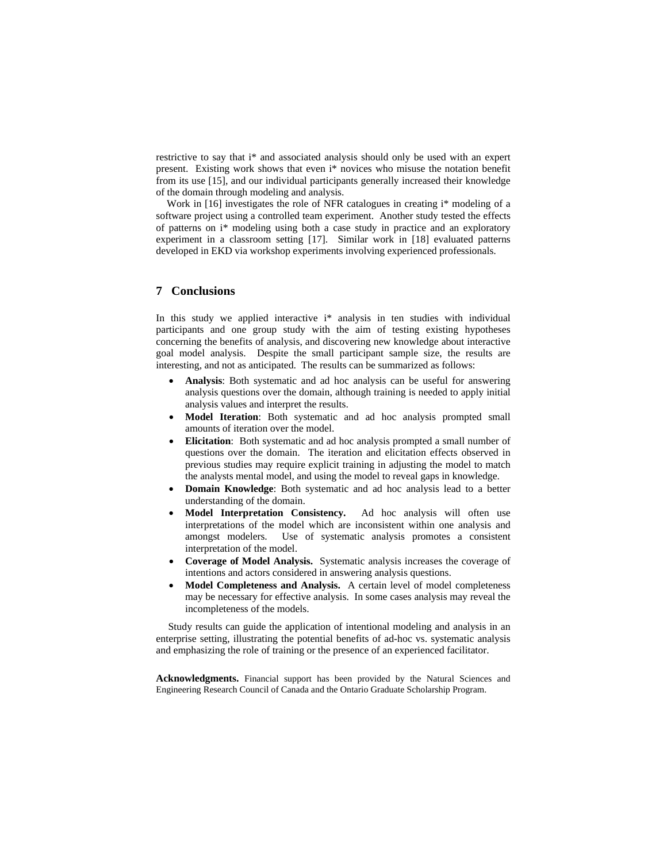restrictive to say that i\* and associated analysis should only be used with an expert present. Existing work shows that even i\* novices who misuse the notation benefit from its use [15], and our individual participants generally increased their knowledge of the domain through modeling and analysis.

Work in [16] investigates the role of NFR catalogues in creating i\* modeling of a software project using a controlled team experiment. Another study tested the effects of patterns on i\* modeling using both a case study in practice and an exploratory experiment in a classroom setting [17]. Similar work in [18] evaluated patterns developed in EKD via workshop experiments involving experienced professionals.

# **7 Conclusions**

In this study we applied interactive i\* analysis in ten studies with individual participants and one group study with the aim of testing existing hypotheses concerning the benefits of analysis, and discovering new knowledge about interactive goal model analysis. Despite the small participant sample size, the results are interesting, and not as anticipated. The results can be summarized as follows:

- **Analysis**: Both systematic and ad hoc analysis can be useful for answering analysis questions over the domain, although training is needed to apply initial analysis values and interpret the results.
- **Model Iteration**: Both systematic and ad hoc analysis prompted small amounts of iteration over the model.
- **Elicitation**: Both systematic and ad hoc analysis prompted a small number of questions over the domain. The iteration and elicitation effects observed in previous studies may require explicit training in adjusting the model to match the analysts mental model, and using the model to reveal gaps in knowledge.
- **Domain Knowledge**: Both systematic and ad hoc analysis lead to a better understanding of the domain.
- **Model Interpretation Consistency.** Ad hoc analysis will often use interpretations of the model which are inconsistent within one analysis and amongst modelers. Use of systematic analysis promotes a consistent interpretation of the model.
- **Coverage of Model Analysis.** Systematic analysis increases the coverage of intentions and actors considered in answering analysis questions.
- **Model Completeness and Analysis.** A certain level of model completeness may be necessary for effective analysis. In some cases analysis may reveal the incompleteness of the models.

Study results can guide the application of intentional modeling and analysis in an enterprise setting, illustrating the potential benefits of ad-hoc vs. systematic analysis and emphasizing the role of training or the presence of an experienced facilitator.

**Acknowledgments.** Financial support has been provided by the Natural Sciences and Engineering Research Council of Canada and the Ontario Graduate Scholarship Program.